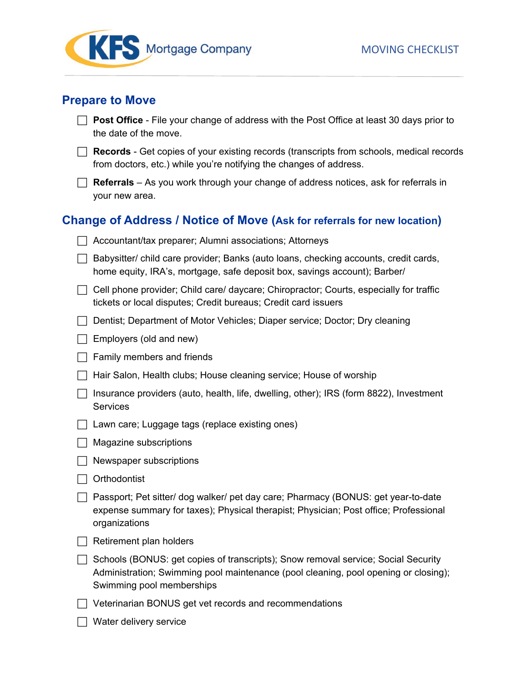

### **Prepare to Move**

| $\Box$ Post Office - File your change of address with the Post Office at least 30 days prior to |
|-------------------------------------------------------------------------------------------------|
| the date of the move.                                                                           |

□ **Records** - Get copies of your existing records (transcripts from schools, medical records from doctors, etc.) while you're notifying the changes of address.

□ Referrals – As you work through your change of address notices, ask for referrals in your new area.

# **Change of Address / Notice of Move (Ask for referrals for new location)**

| Accountant/tax preparer; Alumni associations; Attorneys                                                                                                                                               |
|-------------------------------------------------------------------------------------------------------------------------------------------------------------------------------------------------------|
| Babysitter/ child care provider; Banks (auto loans, checking accounts, credit cards,<br>home equity, IRA's, mortgage, safe deposit box, savings account); Barber/                                     |
| Cell phone provider; Child care/ daycare; Chiropractor; Courts, especially for traffic<br>tickets or local disputes; Credit bureaus; Credit card issuers                                              |
| Dentist; Department of Motor Vehicles; Diaper service; Doctor; Dry cleaning                                                                                                                           |
| Employers (old and new)                                                                                                                                                                               |
| Family members and friends                                                                                                                                                                            |
| Hair Salon, Health clubs; House cleaning service; House of worship                                                                                                                                    |
| Insurance providers (auto, health, life, dwelling, other); IRS (form 8822), Investment<br>Services                                                                                                    |
| Lawn care; Luggage tags (replace existing ones)                                                                                                                                                       |
| Magazine subscriptions                                                                                                                                                                                |
| Newspaper subscriptions                                                                                                                                                                               |
| Orthodontist                                                                                                                                                                                          |
| Passport; Pet sitter/ dog walker/ pet day care; Pharmacy (BONUS: get year-to-date<br>expense summary for taxes); Physical therapist; Physician; Post office; Professional<br>organizations            |
| Retirement plan holders                                                                                                                                                                               |
| Schools (BONUS: get copies of transcripts); Snow removal service; Social Security<br>Administration; Swimming pool maintenance (pool cleaning, pool opening or closing);<br>Swimming pool memberships |
| Veterinarian BONUS get vet records and recommendations                                                                                                                                                |
| Water delivery service                                                                                                                                                                                |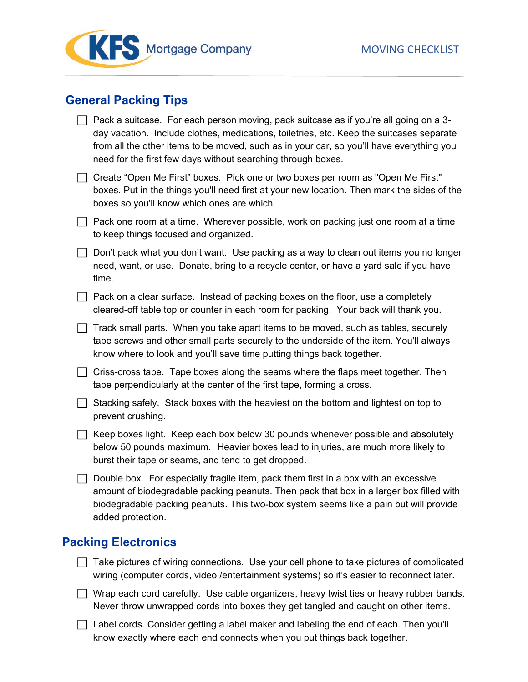



## **General Packing Tips**

| $\Box$ Pack a suitcase. For each person moving, pack suitcase as if you're all going on a 3- |
|----------------------------------------------------------------------------------------------|
| day vacation. Include clothes, medications, toiletries, etc. Keep the suitcases separate     |
| from all the other items to be moved, such as in your car, so you'll have everything you     |
| need for the first few days without searching through boxes.                                 |

 Create "Open Me First" boxes. Pick one or two boxes per room as "Open Me First" boxes. Put in the things you'll need first at your new location. Then mark the sides of the boxes so you'll know which ones are which.

 $\Box$  Pack one room at a time. Wherever possible, work on packing just one room at a time to keep things focused and organized.

 $\Box$  Don't pack what you don't want. Use packing as a way to clean out items you no longer need, want, or use. Donate, bring to a recycle center, or have a yard sale if you have time.

 $\Box$  Pack on a clear surface. Instead of packing boxes on the floor, use a completely cleared-off table top or counter in each room for packing. Your back will thank you.

 $\Box$  Track small parts. When you take apart items to be moved, such as tables, securely tape screws and other small parts securely to the underside of the item. You'll always know where to look and you'll save time putting things back together.

 $\Box$  Criss-cross tape. Tape boxes along the seams where the flaps meet together. Then tape perpendicularly at the center of the first tape, forming a cross.

 $\Box$  Stacking safely. Stack boxes with the heaviest on the bottom and lightest on top to prevent crushing.

 $\Box$  Keep boxes light. Keep each box below 30 pounds whenever possible and absolutely below 50 pounds maximum. Heavier boxes lead to injuries, are much more likely to burst their tape or seams, and tend to get dropped.

 $\Box$  Double box. For especially fragile item, pack them first in a box with an excessive amount of biodegradable packing peanuts. Then pack that box in a larger box filled with biodegradable packing peanuts. This two-box system seems like a pain but will provide added protection.

#### **Packing Electronics**

Take pictures of wiring connections. Use your cell phone to take pictures of complicated wiring (computer cords, video /entertainment systems) so it's easier to reconnect later.

 $\Box$  Wrap each cord carefully. Use cable organizers, heavy twist ties or heavy rubber bands. Never throw unwrapped cords into boxes they get tangled and caught on other items.

 $\Box$  Label cords. Consider getting a label maker and labeling the end of each. Then you'll know exactly where each end connects when you put things back together.